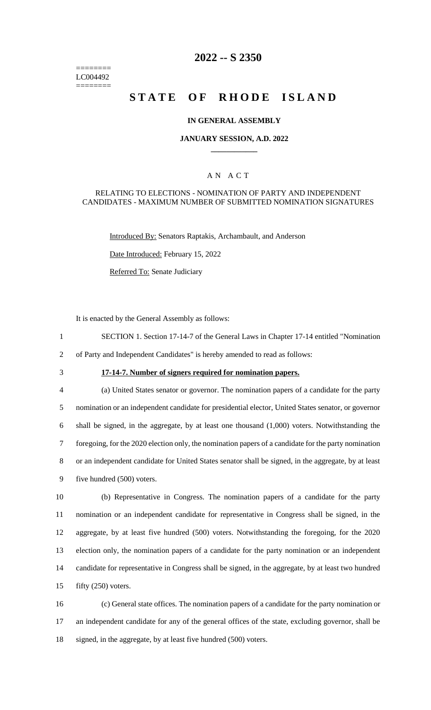======== LC004492 ========

## **2022 -- S 2350**

# **STATE OF RHODE ISLAND**

#### **IN GENERAL ASSEMBLY**

#### **JANUARY SESSION, A.D. 2022 \_\_\_\_\_\_\_\_\_\_\_\_**

## A N A C T

#### RELATING TO ELECTIONS - NOMINATION OF PARTY AND INDEPENDENT CANDIDATES - MAXIMUM NUMBER OF SUBMITTED NOMINATION SIGNATURES

Introduced By: Senators Raptakis, Archambault, and Anderson

Date Introduced: February 15, 2022

Referred To: Senate Judiciary

It is enacted by the General Assembly as follows:

- 1 SECTION 1. Section 17-14-7 of the General Laws in Chapter 17-14 entitled "Nomination
- 2 of Party and Independent Candidates" is hereby amended to read as follows:
- 

## 3 **17-14-7. Number of signers required for nomination papers.**

 (a) United States senator or governor. The nomination papers of a candidate for the party nomination or an independent candidate for presidential elector, United States senator, or governor shall be signed, in the aggregate, by at least one thousand (1,000) voters. Notwithstanding the foregoing, for the 2020 election only, the nomination papers of a candidate for the party nomination or an independent candidate for United States senator shall be signed, in the aggregate, by at least five hundred (500) voters.

 (b) Representative in Congress. The nomination papers of a candidate for the party nomination or an independent candidate for representative in Congress shall be signed, in the aggregate, by at least five hundred (500) voters. Notwithstanding the foregoing, for the 2020 election only, the nomination papers of a candidate for the party nomination or an independent candidate for representative in Congress shall be signed, in the aggregate, by at least two hundred fifty (250) voters.

16 (c) General state offices. The nomination papers of a candidate for the party nomination or 17 an independent candidate for any of the general offices of the state, excluding governor, shall be 18 signed, in the aggregate, by at least five hundred (500) voters.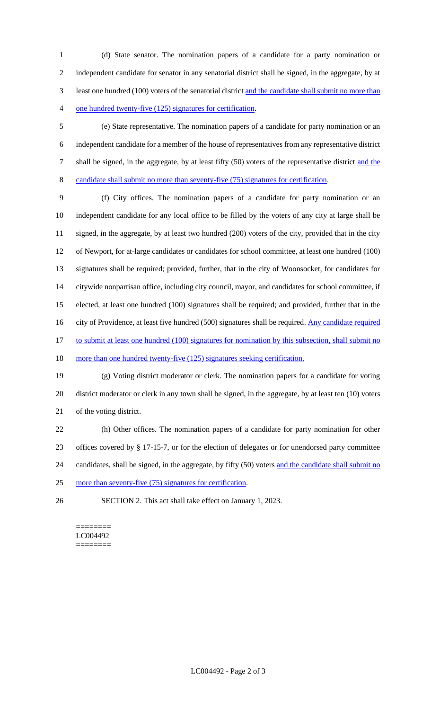(d) State senator. The nomination papers of a candidate for a party nomination or independent candidate for senator in any senatorial district shall be signed, in the aggregate, by at least one hundred (100) voters of the senatorial district and the candidate shall submit no more than one hundred twenty-five (125) signatures for certification.

 (e) State representative. The nomination papers of a candidate for party nomination or an independent candidate for a member of the house of representatives from any representative district 7 shall be signed, in the aggregate, by at least fifty (50) voters of the representative district and the candidate shall submit no more than seventy-five (75) signatures for certification.

 (f) City offices. The nomination papers of a candidate for party nomination or an independent candidate for any local office to be filled by the voters of any city at large shall be signed, in the aggregate, by at least two hundred (200) voters of the city, provided that in the city of Newport, for at-large candidates or candidates for school committee, at least one hundred (100) signatures shall be required; provided, further, that in the city of Woonsocket, for candidates for citywide nonpartisan office, including city council, mayor, and candidates for school committee, if elected, at least one hundred (100) signatures shall be required; and provided, further that in the 16 city of Providence, at least five hundred (500) signatures shall be required. Any candidate required 17 to submit at least one hundred (100) signatures for nomination by this subsection, shall submit no 18 more than one hundred twenty-five (125) signatures seeking certification.

 (g) Voting district moderator or clerk. The nomination papers for a candidate for voting district moderator or clerk in any town shall be signed, in the aggregate, by at least ten (10) voters of the voting district.

 (h) Other offices. The nomination papers of a candidate for party nomination for other offices covered by § 17-15-7, or for the election of delegates or for unendorsed party committee 24 candidates, shall be signed, in the aggregate, by fifty (50) voters and the candidate shall submit no more than seventy-five (75) signatures for certification.

SECTION 2. This act shall take effect on January 1, 2023.

#### ======== LC004492 ========